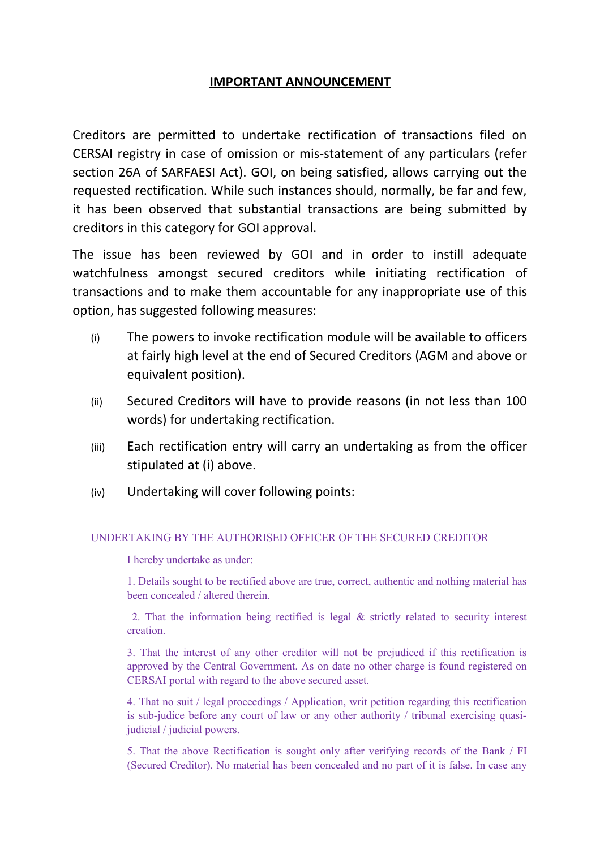## **IMPORTANT ANNOUNCEMENT**

Creditors are permitted to undertake rectification of transactions filed on CERSAI registry in case of omission or mis-statement of any particulars (refer section 26A of SARFAESI Act). GOI, on being satisfied, allows carrying out the requested rectification. While such instances should, normally, be far and few, it has been observed that substantial transactions are being submitted by creditors in this category for GOI approval.

The issue has been reviewed by GOI and in order to instill adequate watchfulness amongst secured creditors while initiating rectification of transactions and to make them accountable for any inappropriate use of this option, has suggested following measures:

- (i) The powers to invoke rectification module will be available to officers at fairly high level at the end of Secured Creditors (AGM and above or equivalent position).
- (ii) Secured Creditors will have to provide reasons (in not less than 100 words) for undertaking rectification.
- (iii) Each rectification entry will carry an undertaking as from the officer stipulated at (i) above.
- (iv) Undertaking will cover following points:

## UNDERTAKING BY THE AUTHORISED OFFICER OF THE SECURED CREDITOR

I hereby undertake as under:

1. Details sought to be rectified above are true, correct, authentic and nothing material has been concealed / altered therein.

2. That the information being rectified is legal  $\&$  strictly related to security interest creation.

3. That the interest of any other creditor will not be prejudiced if this rectification is approved by the Central Government. As on date no other charge is found registered on CERSAI portal with regard to the above secured asset.

4. That no suit / legal proceedings / Application, writ petition regarding this rectification is sub-judice before any court of law or any other authority / tribunal exercising quasijudicial / judicial powers.

5. That the above Rectification is sought only after verifying records of the Bank / FI (Secured Creditor). No material has been concealed and no part of it is false. In case any